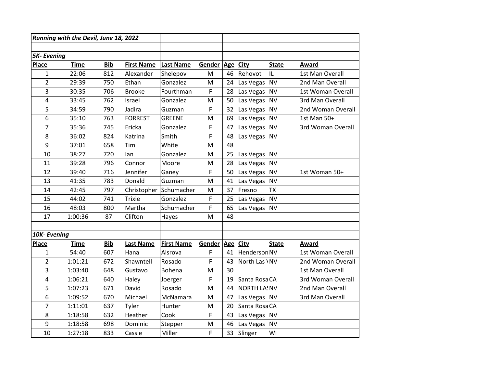| Running with the Devil, June 18, 2022 |             |            |                   |                   |        |          |                    |              |                   |
|---------------------------------------|-------------|------------|-------------------|-------------------|--------|----------|--------------------|--------------|-------------------|
|                                       |             |            |                   |                   |        |          |                    |              |                   |
| <b>5K-Evening</b>                     |             |            |                   |                   |        |          |                    |              |                   |
| <b>Place</b>                          | <b>Time</b> | <b>Bib</b> | <b>First Name</b> | Last Name         | Gender | Age City |                    | <b>State</b> | Award             |
| $\mathbf{1}$                          | 22:06       | 812        | Alexander         | Shelepov          | M      | 46       | Rehovot            | IL           | 1st Man Overall   |
| $\overline{2}$                        | 29:39       | 750        | Ethan             | Gonzalez          | M      | 24       | Las Vegas          | <b>NV</b>    | 2nd Man Overall   |
| 3                                     | 30:35       | 706        | <b>Brooke</b>     | Fourthman         | F      | 28       | Las Vegas          | <b>NV</b>    | 1st Woman Overall |
| 4                                     | 33:45       | 762        | Israel            | Gonzalez          | M      | 50       | Las Vegas          | <b>NV</b>    | 3rd Man Overall   |
| 5                                     | 34:59       | 790        | Jadira            | Guzman            | F      | 32       | Las Vegas          | <b>NV</b>    | 2nd Woman Overall |
| 6                                     | 35:10       | 763        | <b>FORREST</b>    | <b>GREENE</b>     | M      | 69       | Las Vegas          | <b>NV</b>    | 1st Man 50+       |
| $\overline{7}$                        | 35:36       | 745        | Ericka            | Gonzalez          | F      | 47       | Las Vegas          | <b>NV</b>    | 3rd Woman Overall |
| 8                                     | 36:02       | 824        | Katrina           | Smith             | F      | 48       | Las Vegas          | <b>NV</b>    |                   |
| 9                                     | 37:01       | 658        | Tim               | White             | M      | 48       |                    |              |                   |
| 10                                    | 38:27       | 720        | lan               | Gonzalez          | M      | 25       | Las Vegas          | <b>NV</b>    |                   |
| 11                                    | 39:28       | 796        | Connor            | Moore             | M      | 28       | Las Vegas          | <b>NV</b>    |                   |
| 12                                    | 39:40       | 716        | Jennifer          | Ganey             | F      | 50       | Las Vegas          | <b>NV</b>    | 1st Woman 50+     |
| 13                                    | 41:35       | 783        | Donald            | Guzman            | M      | 41       | Las Vegas          | <b>NV</b>    |                   |
| 14                                    | 42:45       | 797        | Christopher       | Schumacher        | M      | 37       | Fresno             | <b>TX</b>    |                   |
| 15                                    | 44:02       | 741        | <b>Trixie</b>     | Gonzalez          | F      | 25       | Las Vegas          | <b>NV</b>    |                   |
| 16                                    | 48:03       | 800        | Martha            | Schumacher        | F      | 65       | Las Vegas          | <b>NV</b>    |                   |
| 17                                    | 1:00:36     | 87         | Clifton           | Hayes             | M      | 48       |                    |              |                   |
|                                       |             |            |                   |                   |        |          |                    |              |                   |
| 10K-Evening                           |             |            |                   |                   |        |          |                    |              |                   |
| Place                                 | <b>Time</b> | <b>Bib</b> | <b>Last Name</b>  | <b>First Name</b> | Gender | Age City |                    | <b>State</b> | Award             |
| $\mathbf{1}$                          | 54:40       | 607        | Hana              | Alsrova           | F      | 41       | Henderson NV       |              | 1st Woman Overall |
| $\overline{2}$                        | 1:01:21     | 672        | Shawntell         | Rosado            | F      | 43       | North Las \NV      |              | 2nd Woman Overall |
| 3                                     | 1:03:40     | 648        | Gustavo           | Bohena            | M      | 30       |                    |              | 1st Man Overall   |
| 4                                     | 1:06:21     | 640        | Haley             | Joerger           | F      | 19       | Santa Rosa CA      |              | 3rd Woman Overall |
| 5                                     | 1:07:23     | 671        | David             | Rosado            | м      | 44       | <b>NORTH LA!NV</b> |              | 2nd Man Overall   |
| 6                                     | 1:09:52     | 670        | Michael           | McNamara          | M      | 47       | Las Vegas   NV     |              | 3rd Man Overall   |
| $\overline{7}$                        | 1:11:01     | 637        | Tyler             | Hunter            | M      | 20       | Santa RosaCA       |              |                   |
| 8                                     | 1:18:58     | 632        | Heather           | Cook              | F      | 43       | Las Vegas          | <b>NV</b>    |                   |
| 9                                     | 1:18:58     | 698        | Dominic           | Stepper           | M      | 46       | Las Vegas          | <b>NV</b>    |                   |
| 10                                    | 1:27:18     | 833        | Cassie            | Miller            | F      | 33       | Slinger            | WI           |                   |